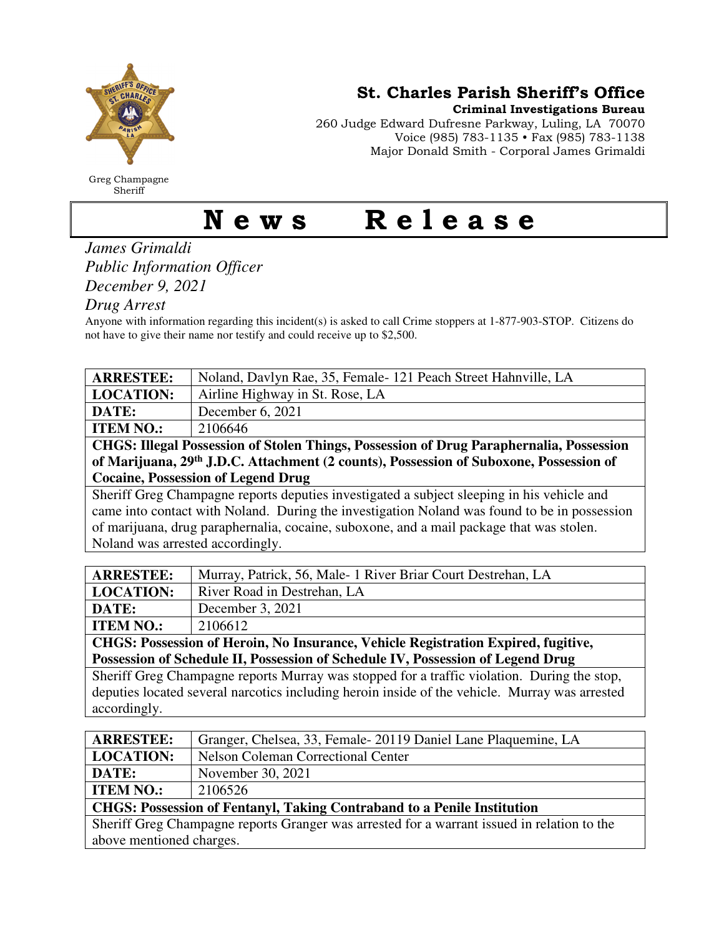

Greg Champagne Sheriff

St. Charles Parish Sheriff's Office

Criminal Investigations Bureau

260 Judge Edward Dufresne Parkway, Luling, LA 70070 Voice (985) 783-1135 • Fax (985) 783-1138 Major Donald Smith - Corporal James Grimaldi

## News Release

## *James Grimaldi Public Information Officer December 9, 2021*

*Drug Arrest* 

Anyone with information regarding this incident(s) is asked to call Crime stoppers at 1-877-903-STOP. Citizens do not have to give their name nor testify and could receive up to \$2,500.

| <b>ARRESTEE:</b>                                                                                   | Noland, Davlyn Rae, 35, Female-121 Peach Street Hahnville, LA |  |
|----------------------------------------------------------------------------------------------------|---------------------------------------------------------------|--|
| <b>LOCATION:</b>                                                                                   | Airline Highway in St. Rose, LA                               |  |
| DATE:                                                                                              | December 6, 2021                                              |  |
| <b>ITEM NO.:</b>                                                                                   | 2106646                                                       |  |
| CHGS: Illegal Possession of Stolen Things, Possession of Drug Paraphernalia, Possession            |                                                               |  |
| of Marijuana, 29 <sup>th</sup> J.D.C. Attachment (2 counts), Possession of Suboxone, Possession of |                                                               |  |
| <b>Cocaine, Possession of Legend Drug</b>                                                          |                                                               |  |
| Sheriff Greg Champagne reports deputies investigated a subject sleeping in his vehicle and         |                                                               |  |
| came into contact with Noland. During the investigation Noland was found to be in possession       |                                                               |  |
| of marijuana, drug paraphernalia, cocaine, suboxone, and a mail package that was stolen.           |                                                               |  |
| Noland was arrested accordingly.                                                                   |                                                               |  |

| <b>ARRESTEE:</b> | Murray, Patrick, 56, Male-1 River Briar Court Destrehan, LA |
|------------------|-------------------------------------------------------------|
| <b>LOCATION:</b> | River Road in Destrehan, LA                                 |
| DATE:            | December 3, 2021                                            |
| <b>ITEM NO.:</b> | 2106612                                                     |

**CHGS: Possession of Heroin, No Insurance, Vehicle Registration Expired, fugitive, Possession of Schedule II, Possession of Schedule IV, Possession of Legend Drug** 

Sheriff Greg Champagne reports Murray was stopped for a traffic violation. During the stop, deputies located several narcotics including heroin inside of the vehicle. Murray was arrested accordingly.

| <b>ARRESTEE:</b>                                                                            | Granger, Chelsea, 33, Female 20119 Daniel Lane Plaquemine, LA |  |
|---------------------------------------------------------------------------------------------|---------------------------------------------------------------|--|
| <b>LOCATION:</b>                                                                            | <b>Nelson Coleman Correctional Center</b>                     |  |
| DATE:                                                                                       | November 30, 2021                                             |  |
| <b>ITEM NO.:</b>                                                                            | 2106526                                                       |  |
| <b>CHGS: Possession of Fentanyl, Taking Contraband to a Penile Institution</b>              |                                                               |  |
| Sheriff Greg Champagne reports Granger was arrested for a warrant issued in relation to the |                                                               |  |
| above mentioned charges.                                                                    |                                                               |  |